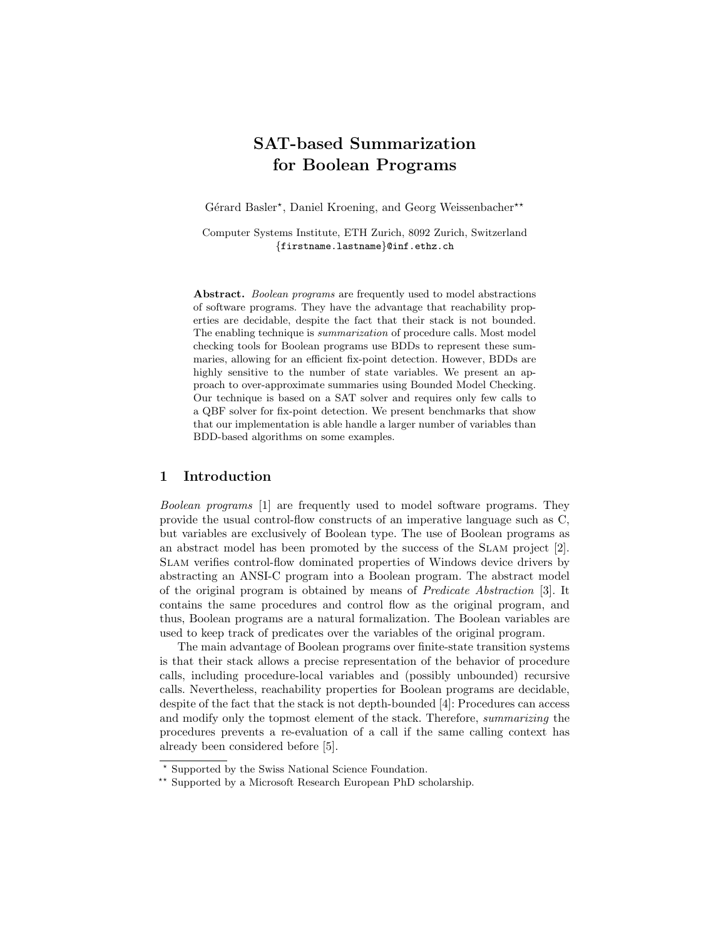# SAT-based Summarization for Boolean Programs

Gérard Basler\*, Daniel Kroening, and Georg Weissenbacher\*\*

Computer Systems Institute, ETH Zurich, 8092 Zurich, Switzerland {firstname.lastname}@inf.ethz.ch

Abstract. Boolean programs are frequently used to model abstractions of software programs. They have the advantage that reachability properties are decidable, despite the fact that their stack is not bounded. The enabling technique is summarization of procedure calls. Most model checking tools for Boolean programs use BDDs to represent these summaries, allowing for an efficient fix-point detection. However, BDDs are highly sensitive to the number of state variables. We present an approach to over-approximate summaries using Bounded Model Checking. Our technique is based on a SAT solver and requires only few calls to a QBF solver for fix-point detection. We present benchmarks that show that our implementation is able handle a larger number of variables than BDD-based algorithms on some examples.

### 1 Introduction

Boolean programs [1] are frequently used to model software programs. They provide the usual control-flow constructs of an imperative language such as C, but variables are exclusively of Boolean type. The use of Boolean programs as an abstract model has been promoted by the success of the Slam project [2]. Slam verifies control-flow dominated properties of Windows device drivers by abstracting an ANSI-C program into a Boolean program. The abstract model of the original program is obtained by means of Predicate Abstraction [3]. It contains the same procedures and control flow as the original program, and thus, Boolean programs are a natural formalization. The Boolean variables are used to keep track of predicates over the variables of the original program.

The main advantage of Boolean programs over finite-state transition systems is that their stack allows a precise representation of the behavior of procedure calls, including procedure-local variables and (possibly unbounded) recursive calls. Nevertheless, reachability properties for Boolean programs are decidable, despite of the fact that the stack is not depth-bounded [4]: Procedures can access and modify only the topmost element of the stack. Therefore, summarizing the procedures prevents a re-evaluation of a call if the same calling context has already been considered before [5].

<sup>?</sup> Supported by the Swiss National Science Foundation.

<sup>\*\*</sup> Supported by a Microsoft Research European PhD scholarship.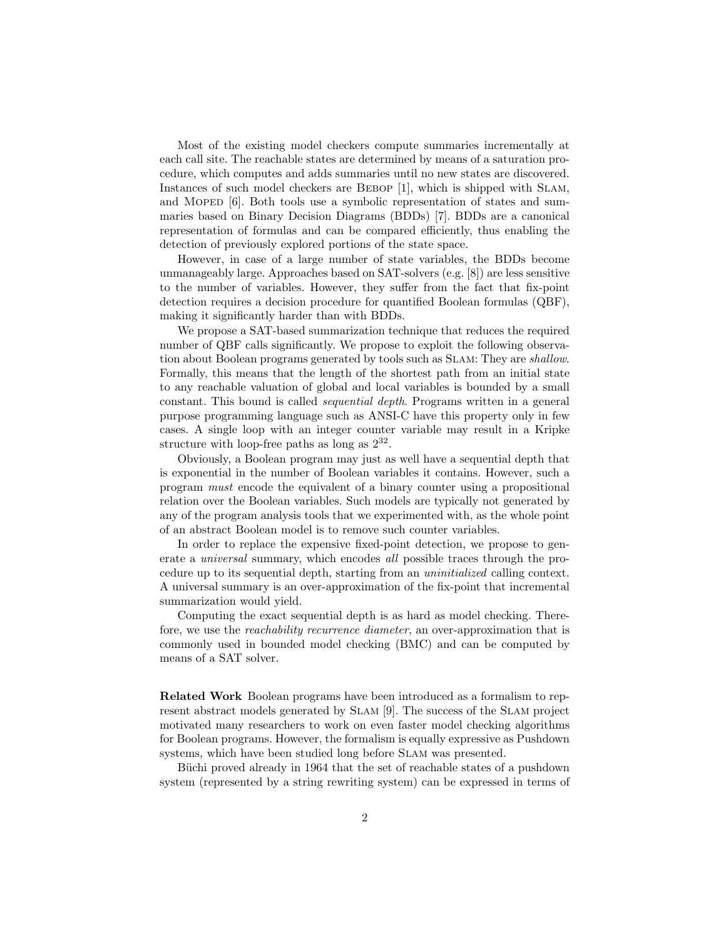Most of the existing model checkers compute summaries incrementally at each call site. The reachable states are determined by means of a saturation procedure, which computes and adds summaries until no new states are discovered. Instances of such model checkers are Bebop [1], which is shipped with Slam, and MOPED [6]. Both tools use a symbolic representation of states and summaries based on Binary Decision Diagrams (BDDs) [7]. BDDs are a canonical representation of formulas and can be compared efficiently, thus enabling the detection of previously explored portions of the state space.

However, in case of a large number of state variables, the BDDs become unmanageably large. Approaches based on SAT-solvers (e.g. [8]) are less sensitive to the number of variables. However, they suffer from the fact that fix-point detection requires a decision procedure for quantified Boolean formulas (QBF), making it significantly harder than with BDDs.

We propose a SAT-based summarization technique that reduces the required number of QBF calls significantly. We propose to exploit the following observation about Boolean programs generated by tools such as SLAM: They are *shallow*. Formally, this means that the length of the shortest path from an initial state to any reachable valuation of global and local variables is bounded by a small constant. This bound is called sequential depth. Programs written in a general purpose programming language such as ANSI-C have this property only in few cases. A single loop with an integer counter variable may result in a Kripke structure with loop-free paths as long as  $2^{32}$ .

Obviously, a Boolean program may just as well have a sequential depth that is exponential in the number of Boolean variables it contains. However, such a program must encode the equivalent of a binary counter using a propositional relation over the Boolean variables. Such models are typically not generated by any of the program analysis tools that we experimented with, as the whole point of an abstract Boolean model is to remove such counter variables.

In order to replace the expensive fixed-point detection, we propose to generate a universal summary, which encodes all possible traces through the procedure up to its sequential depth, starting from an uninitialized calling context. A universal summary is an over-approximation of the fix-point that incremental summarization would yield.

Computing the exact sequential depth is as hard as model checking. Therefore, we use the reachability recurrence diameter, an over-approximation that is commonly used in bounded model checking (BMC) and can be computed by means of a SAT solver.

Related Work Boolean programs have been introduced as a formalism to represent abstract models generated by Slam [9]. The success of the Slam project motivated many researchers to work on even faster model checking algorithms for Boolean programs. However, the formalism is equally expressive as Pushdown systems, which have been studied long before SLAM was presented.

Büchi proved already in 1964 that the set of reachable states of a pushdown system (represented by a string rewriting system) can be expressed in terms of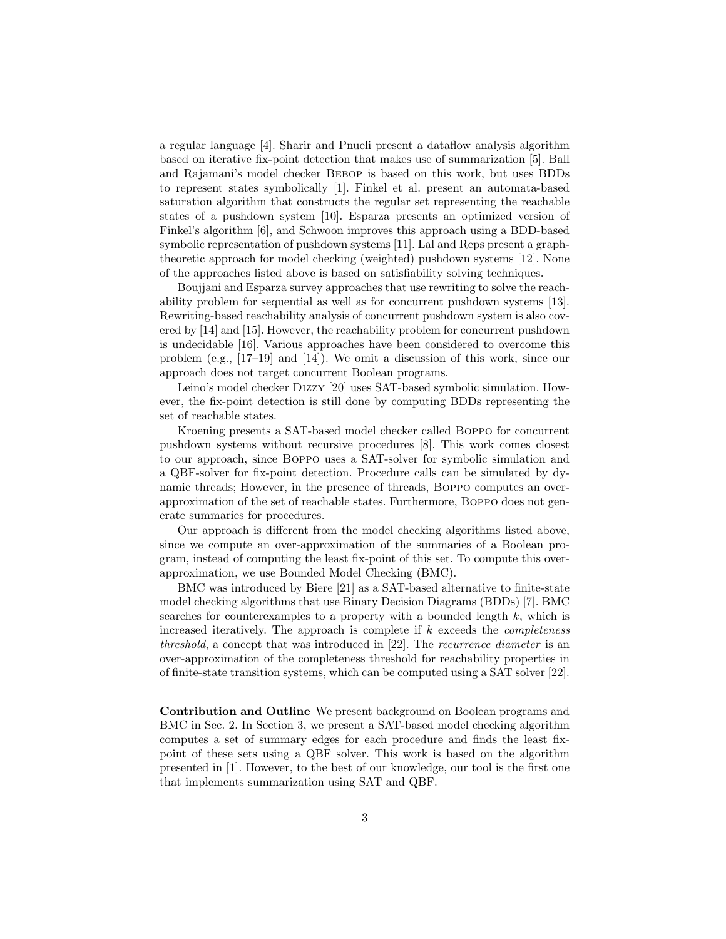a regular language [4]. Sharir and Pnueli present a dataflow analysis algorithm based on iterative fix-point detection that makes use of summarization [5]. Ball and Rajamani's model checker Bebop is based on this work, but uses BDDs to represent states symbolically [1]. Finkel et al. present an automata-based saturation algorithm that constructs the regular set representing the reachable states of a pushdown system [10]. Esparza presents an optimized version of Finkel's algorithm [6], and Schwoon improves this approach using a BDD-based symbolic representation of pushdown systems [11]. Lal and Reps present a graphtheoretic approach for model checking (weighted) pushdown systems [12]. None of the approaches listed above is based on satisfiability solving techniques.

Boujjani and Esparza survey approaches that use rewriting to solve the reachability problem for sequential as well as for concurrent pushdown systems [13]. Rewriting-based reachability analysis of concurrent pushdown system is also covered by [14] and [15]. However, the reachability problem for concurrent pushdown is undecidable [16]. Various approaches have been considered to overcome this problem (e.g., [17–19] and [14]). We omit a discussion of this work, since our approach does not target concurrent Boolean programs.

Leino's model checker Dizzy [20] uses SAT-based symbolic simulation. However, the fix-point detection is still done by computing BDDs representing the set of reachable states.

Kroening presents a SAT-based model checker called Boppo for concurrent pushdown systems without recursive procedures [8]. This work comes closest to our approach, since Boppo uses a SAT-solver for symbolic simulation and a QBF-solver for fix-point detection. Procedure calls can be simulated by dynamic threads; However, in the presence of threads, Boppo computes an overapproximation of the set of reachable states. Furthermore, Boppo does not generate summaries for procedures.

Our approach is different from the model checking algorithms listed above, since we compute an over-approximation of the summaries of a Boolean program, instead of computing the least fix-point of this set. To compute this overapproximation, we use Bounded Model Checking (BMC).

BMC was introduced by Biere [21] as a SAT-based alternative to finite-state model checking algorithms that use Binary Decision Diagrams (BDDs) [7]. BMC searches for counterexamples to a property with a bounded length  $k$ , which is increased iteratively. The approach is complete if  $k$  exceeds the *completeness* threshold, a concept that was introduced in [22]. The recurrence diameter is an over-approximation of the completeness threshold for reachability properties in of finite-state transition systems, which can be computed using a SAT solver [22].

Contribution and Outline We present background on Boolean programs and BMC in Sec. 2. In Section 3, we present a SAT-based model checking algorithm computes a set of summary edges for each procedure and finds the least fixpoint of these sets using a QBF solver. This work is based on the algorithm presented in [1]. However, to the best of our knowledge, our tool is the first one that implements summarization using SAT and QBF.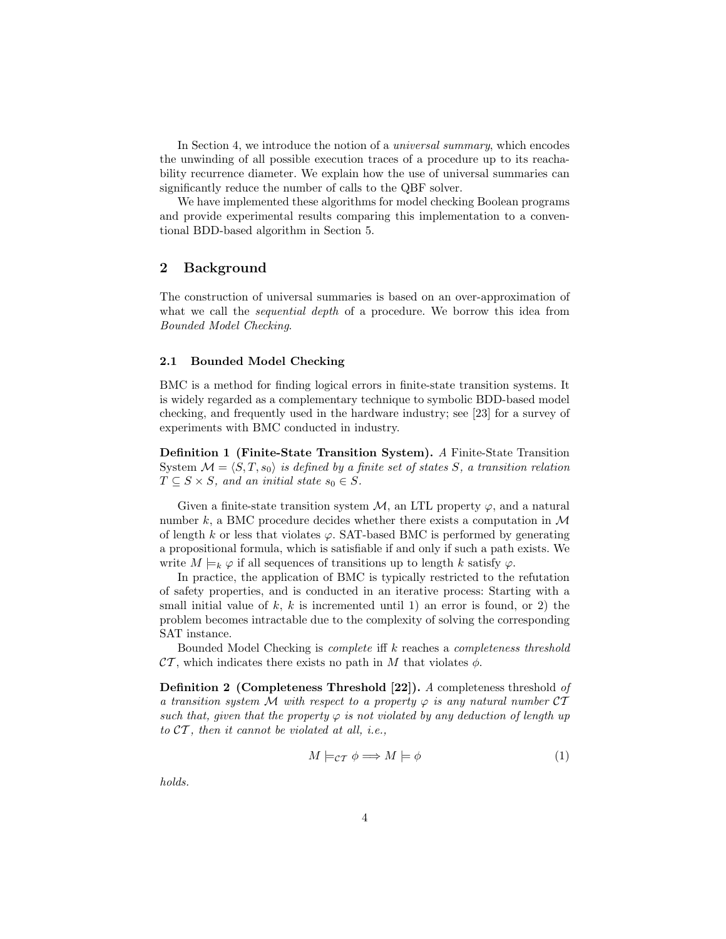In Section 4, we introduce the notion of a *universal summary*, which encodes the unwinding of all possible execution traces of a procedure up to its reachability recurrence diameter. We explain how the use of universal summaries can significantly reduce the number of calls to the QBF solver.

We have implemented these algorithms for model checking Boolean programs and provide experimental results comparing this implementation to a conventional BDD-based algorithm in Section 5.

# 2 Background

The construction of universal summaries is based on an over-approximation of what we call the *sequential depth* of a procedure. We borrow this idea from Bounded Model Checking.

#### 2.1 Bounded Model Checking

BMC is a method for finding logical errors in finite-state transition systems. It is widely regarded as a complementary technique to symbolic BDD-based model checking, and frequently used in the hardware industry; see [23] for a survey of experiments with BMC conducted in industry.

Definition 1 (Finite-State Transition System). A Finite-State Transition System  $\mathcal{M} = \langle S, T, s_0 \rangle$  is defined by a finite set of states S, a transition relation  $T \subseteq S \times S$ , and an initial state  $s_0 \in S$ .

Given a finite-state transition system  $M$ , an LTL property  $\varphi$ , and a natural number  $k$ , a BMC procedure decides whether there exists a computation in  $\mathcal M$ of length k or less that violates  $\varphi$ . SAT-based BMC is performed by generating a propositional formula, which is satisfiable if and only if such a path exists. We write  $M \models_k \varphi$  if all sequences of transitions up to length k satisfy  $\varphi$ .

In practice, the application of BMC is typically restricted to the refutation of safety properties, and is conducted in an iterative process: Starting with a small initial value of  $k, k$  is incremented until 1) an error is found, or 2) the problem becomes intractable due to the complexity of solving the corresponding SAT instance.

Bounded Model Checking is complete iff k reaches a completeness threshold  $\mathcal{CT}$ , which indicates there exists no path in M that violates  $\phi$ .

Definition 2 (Completeness Threshold [22]). A completeness threshold of a transition system M with respect to a property  $\varphi$  is any natural number  $\mathcal{CT}$ such that, given that the property  $\varphi$  is not violated by any deduction of length up to  $CT$ , then it cannot be violated at all, i.e.,

$$
M \models_{\mathcal{CT}} \phi \Longrightarrow M \models \phi \tag{1}
$$

holds.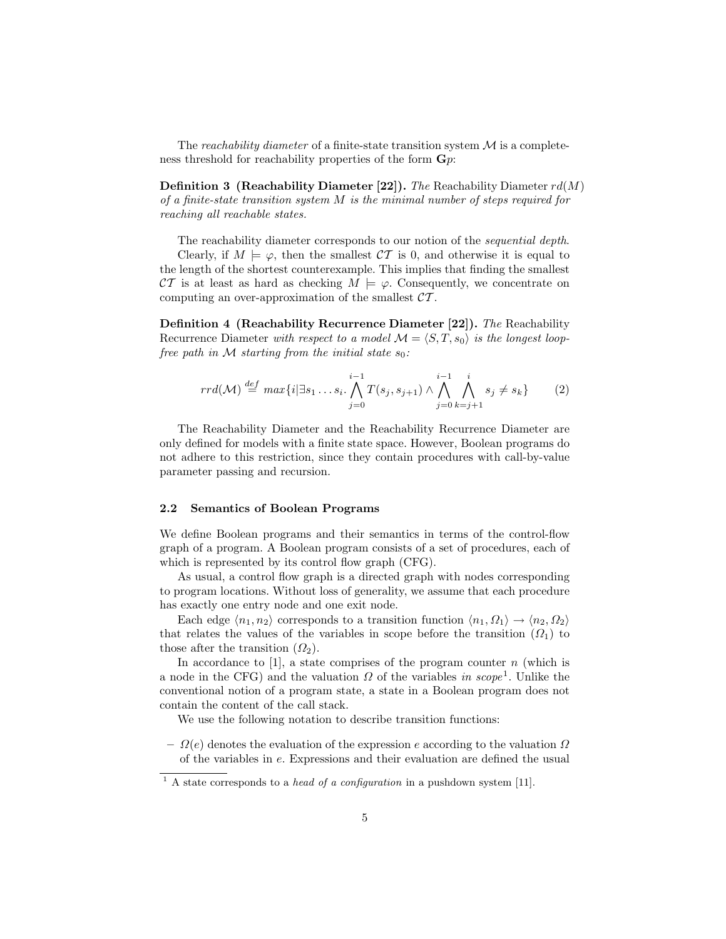The reachability diameter of a finite-state transition system  $\mathcal M$  is a completeness threshold for reachability properties of the form  $\mathbf{G}p$ :

**Definition 3 (Reachability Diameter [22]).** The Reachability Diameter  $rd(M)$ of a finite-state transition system M is the minimal number of steps required for reaching all reachable states.

The reachability diameter corresponds to our notion of the *sequential depth*.

Clearly, if  $M \models \varphi$ , then the smallest  $CT$  is 0, and otherwise it is equal to the length of the shortest counterexample. This implies that finding the smallest CT is at least as hard as checking  $M \models \varphi$ . Consequently, we concentrate on computing an over-approximation of the smallest  $CT$ .

Definition 4 (Reachability Recurrence Diameter [22]). The Reachability Recurrence Diameter with respect to a model  $\mathcal{M} = \langle S, T, s_0 \rangle$  is the longest loopfree path in  $M$  starting from the initial state  $s_0$ :

$$
rrd(\mathcal{M}) \stackrel{def}{=} \max\{i | \exists s_1 \dots s_i \cdot \bigwedge_{j=0}^{i-1} T(s_j, s_{j+1}) \wedge \bigwedge_{j=0}^{i-1} \bigwedge_{k=j+1}^i s_j \neq s_k\} \qquad (2)
$$

The Reachability Diameter and the Reachability Recurrence Diameter are only defined for models with a finite state space. However, Boolean programs do not adhere to this restriction, since they contain procedures with call-by-value parameter passing and recursion.

#### 2.2 Semantics of Boolean Programs

We define Boolean programs and their semantics in terms of the control-flow graph of a program. A Boolean program consists of a set of procedures, each of which is represented by its control flow graph (CFG).

As usual, a control flow graph is a directed graph with nodes corresponding to program locations. Without loss of generality, we assume that each procedure has exactly one entry node and one exit node.

Each edge  $\langle n_1, n_2 \rangle$  corresponds to a transition function  $\langle n_1, \Omega_1 \rangle \rightarrow \langle n_2, \Omega_2 \rangle$ that relates the values of the variables in scope before the transition  $(\Omega_1)$  to those after the transition  $(\Omega_2)$ .

In accordance to [1], a state comprises of the program counter  $n$  (which is a node in the CFG) and the valuation  $\Omega$  of the variables in scope<sup>1</sup>. Unlike the conventional notion of a program state, a state in a Boolean program does not contain the content of the call stack.

We use the following notation to describe transition functions:

 $\Omega(e)$  denotes the evaluation of the expression e according to the valuation  $\Omega$ of the variables in e. Expressions and their evaluation are defined the usual

<sup>&</sup>lt;sup>1</sup> A state corresponds to a *head of a configuration* in a pushdown system [11].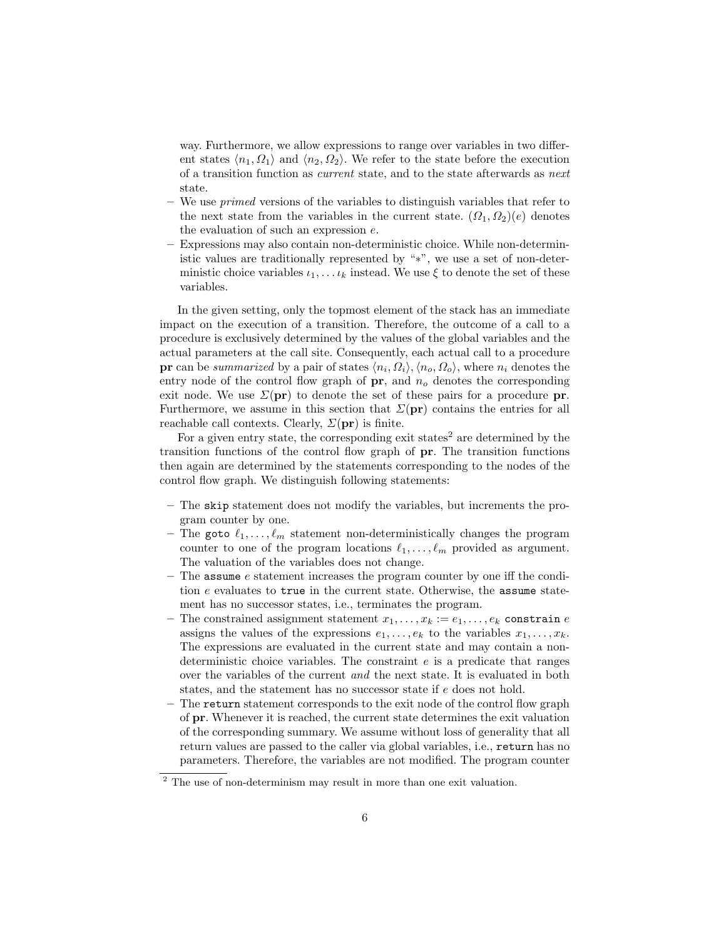way. Furthermore, we allow expressions to range over variables in two different states  $\langle n_1, \Omega_1 \rangle$  and  $\langle n_2, \Omega_2 \rangle$ . We refer to the state before the execution of a transition function as current state, and to the state afterwards as next state.

- We use *primed* versions of the variables to distinguish variables that refer to the next state from the variables in the current state.  $(\Omega_1, \Omega_2)(e)$  denotes the evaluation of such an expression e.
- Expressions may also contain non-deterministic choice. While non-deterministic values are traditionally represented by "∗", we use a set of non-deterministic choice variables  $\iota_1, \ldots \iota_k$  instead. We use  $\xi$  to denote the set of these variables.

In the given setting, only the topmost element of the stack has an immediate impact on the execution of a transition. Therefore, the outcome of a call to a procedure is exclusively determined by the values of the global variables and the actual parameters at the call site. Consequently, each actual call to a procedure **pr** can be summarized by a pair of states  $\langle n_i, \Omega_i \rangle, \langle n_o, \Omega_o \rangle$ , where  $n_i$  denotes the entry node of the control flow graph of  $pr$ , and  $n<sub>o</sub>$  denotes the corresponding exit node. We use  $\Sigma(\mathbf{pr})$  to denote the set of these pairs for a procedure **pr**. Furthermore, we assume in this section that  $\Sigma(\mathbf{pr})$  contains the entries for all reachable call contexts. Clearly,  $\Sigma(\text{pr})$  is finite.

For a given entry state, the corresponding exit states<sup>2</sup> are determined by the transition functions of the control flow graph of pr. The transition functions then again are determined by the statements corresponding to the nodes of the control flow graph. We distinguish following statements:

- The skip statement does not modify the variables, but increments the program counter by one.
- The goto  $\ell_1, \ldots, \ell_m$  statement non-deterministically changes the program counter to one of the program locations  $\ell_1, \ldots, \ell_m$  provided as argument. The valuation of the variables does not change.
- The assume  $e$  statement increases the program counter by one iff the condition e evaluates to true in the current state. Otherwise, the assume statement has no successor states, i.e., terminates the program.
- The constrained assignment statement  $x_1, \ldots, x_k := e_1, \ldots, e_k$  constrain e assigns the values of the expressions  $e_1, \ldots, e_k$  to the variables  $x_1, \ldots, x_k$ . The expressions are evaluated in the current state and may contain a nondeterministic choice variables. The constraint  $e$  is a predicate that ranges over the variables of the current and the next state. It is evaluated in both states, and the statement has no successor state if e does not hold.
- The return statement corresponds to the exit node of the control flow graph of pr. Whenever it is reached, the current state determines the exit valuation of the corresponding summary. We assume without loss of generality that all return values are passed to the caller via global variables, i.e., return has no parameters. Therefore, the variables are not modified. The program counter

<sup>&</sup>lt;sup>2</sup> The use of non-determinism may result in more than one exit valuation.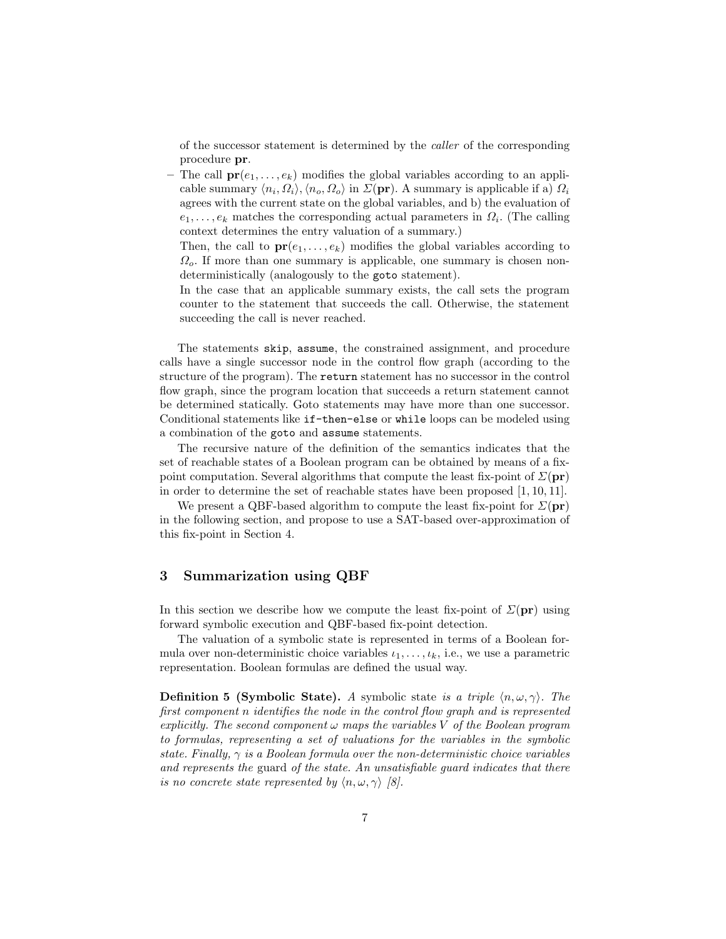of the successor statement is determined by the caller of the corresponding procedure pr.

– The call  $pr(e_1, \ldots, e_k)$  modifies the global variables according to an applicable summary  $\langle n_i, \Omega_i \rangle, \langle n_o, \Omega_o \rangle$  in  $\Sigma(\text{pr})$ . A summary is applicable if a)  $\Omega_i$ agrees with the current state on the global variables, and b) the evaluation of  $e_1, \ldots, e_k$  matches the corresponding actual parameters in  $\Omega_i$ . (The calling context determines the entry valuation of a summary.)

Then, the call to  $pr(e_1, \ldots, e_k)$  modifies the global variables according to  $\Omega_o$ . If more than one summary is applicable, one summary is chosen nondeterministically (analogously to the goto statement).

In the case that an applicable summary exists, the call sets the program counter to the statement that succeeds the call. Otherwise, the statement succeeding the call is never reached.

The statements skip, assume, the constrained assignment, and procedure calls have a single successor node in the control flow graph (according to the structure of the program). The return statement has no successor in the control flow graph, since the program location that succeeds a return statement cannot be determined statically. Goto statements may have more than one successor. Conditional statements like if-then-else or while loops can be modeled using a combination of the goto and assume statements.

The recursive nature of the definition of the semantics indicates that the set of reachable states of a Boolean program can be obtained by means of a fixpoint computation. Several algorithms that compute the least fix-point of  $\Sigma(\mathbf{pr})$ in order to determine the set of reachable states have been proposed [1, 10, 11].

We present a QBF-based algorithm to compute the least fix-point for  $\Sigma(\mathbf{pr})$ in the following section, and propose to use a SAT-based over-approximation of this fix-point in Section 4.

# 3 Summarization using QBF

In this section we describe how we compute the least fix-point of  $\Sigma(\mathbf{pr})$  using forward symbolic execution and QBF-based fix-point detection.

The valuation of a symbolic state is represented in terms of a Boolean formula over non-deterministic choice variables  $i_1, \ldots, i_k$ , i.e., we use a parametric representation. Boolean formulas are defined the usual way.

**Definition 5 (Symbolic State).** A symbolic state is a triple  $\langle n, \omega, \gamma \rangle$ . The first component n identifies the node in the control flow graph and is represented explicitly. The second component  $\omega$  maps the variables V of the Boolean program to formulas, representing a set of valuations for the variables in the symbolic state. Finally,  $\gamma$  is a Boolean formula over the non-deterministic choice variables and represents the guard of the state. An unsatisfiable guard indicates that there is no concrete state represented by  $\langle n, \omega, \gamma \rangle$  [8].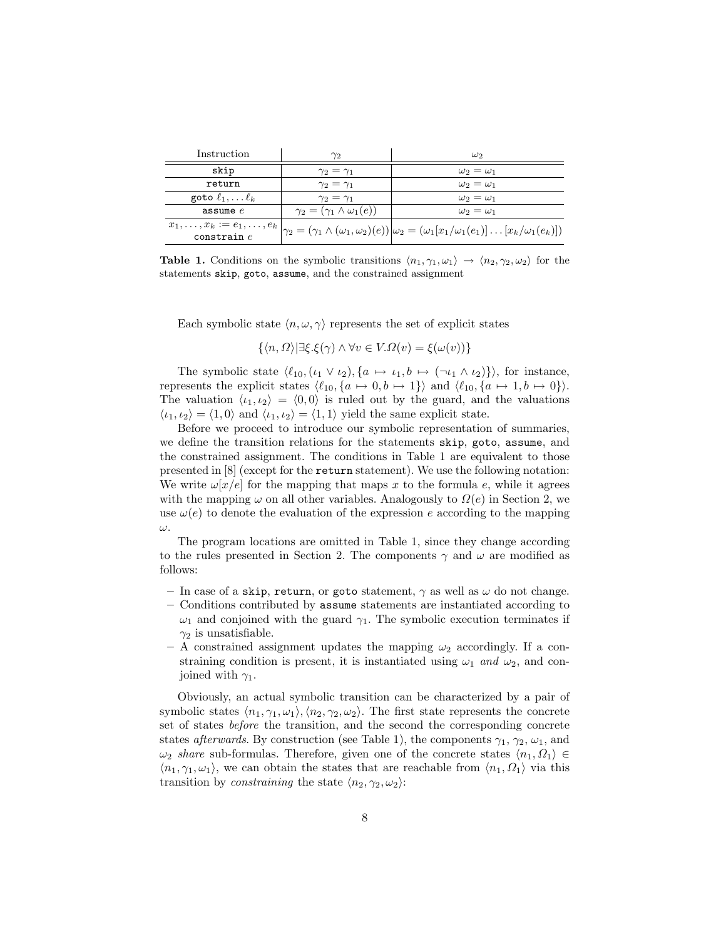| Instruction                  | $\gamma_2$                                 | $\omega_2$                                                                                                                                             |  |
|------------------------------|--------------------------------------------|--------------------------------------------------------------------------------------------------------------------------------------------------------|--|
| skip                         | $\gamma_2=\gamma_1$                        | $\omega_2=\omega_1$                                                                                                                                    |  |
| return                       | $\gamma_2=\gamma_1$                        | $\omega_2=\omega_1$                                                                                                                                    |  |
| goto $\ell_1, \ldots \ell_k$ | $\gamma_2=\gamma_1$                        | $\omega_2=\omega_1$                                                                                                                                    |  |
| assume $e$                   | $\gamma_2 = (\gamma_1 \wedge \omega_1(e))$ | $\omega_2 = \omega_1$                                                                                                                                  |  |
|                              |                                            | $x_1, , x_k := e_1, , e_k  _{\gamma_2} = (\gamma_1 \wedge (\omega_1, \omega_2)(e))  _{\omega_2} = (\omega_1 [x_1/\omega_1(e_1)]  [x_k/\omega_1(e_k)])$ |  |
| $\cos$ train $e$             |                                            |                                                                                                                                                        |  |

**Table 1.** Conditions on the symbolic transitions  $\langle n_1, \gamma_1, \omega_1 \rangle \rightarrow \langle n_2, \gamma_2, \omega_2 \rangle$  for the statements skip, goto, assume, and the constrained assignment

Each symbolic state  $\langle n, \omega, \gamma \rangle$  represents the set of explicit states

$$
\{\langle n,\Omega\rangle | \exists \xi.\xi(\gamma) \land \forall v \in V.\Omega(v) = \xi(\omega(v))\}
$$

The symbolic state  $\langle \ell_{10},(\iota_1 \vee \iota_2), \{a \mapsto \iota_1, b \mapsto (\neg \iota_1 \wedge \iota_2)\}\rangle$ , for instance, represents the explicit states  $\langle \ell_{10}, {a \mapsto 0, b \mapsto 1} \rangle$  and  $\langle \ell_{10}, {a \mapsto 1, b \mapsto 0} \rangle$ . The valuation  $\langle i_1, i_2 \rangle = \langle 0, 0 \rangle$  is ruled out by the guard, and the valuations  $\langle i_1, i_2 \rangle = \langle 1, 0 \rangle$  and  $\langle i_1, i_2 \rangle = \langle 1, 1 \rangle$  yield the same explicit state.

Before we proceed to introduce our symbolic representation of summaries, we define the transition relations for the statements skip, goto, assume, and the constrained assignment. The conditions in Table 1 are equivalent to those presented in [8] (except for the return statement). We use the following notation: We write  $\omega[x/e]$  for the mapping that maps x to the formula e, while it agrees with the mapping  $\omega$  on all other variables. Analogously to  $\Omega(e)$  in Section 2, we use  $\omega(e)$  to denote the evaluation of the expression e according to the mapping ω.

The program locations are omitted in Table 1, since they change according to the rules presented in Section 2. The components  $\gamma$  and  $\omega$  are modified as follows:

- In case of a skip, return, or goto statement,  $\gamma$  as well as  $\omega$  do not change.
- Conditions contributed by assume statements are instantiated according to  $\omega_1$  and conjoined with the guard  $\gamma_1$ . The symbolic execution terminates if  $\gamma_2$  is unsatisfiable.
- A constrained assignment updates the mapping  $\omega_2$  accordingly. If a constraining condition is present, it is instantiated using  $\omega_1$  and  $\omega_2$ , and conjoined with  $\gamma_1$ .

Obviously, an actual symbolic transition can be characterized by a pair of symbolic states  $\langle n_1, \gamma_1, \omega_1 \rangle$ ,  $\langle n_2, \gamma_2, \omega_2 \rangle$ . The first state represents the concrete set of states before the transition, and the second the corresponding concrete states afterwards. By construction (see Table 1), the components  $\gamma_1, \gamma_2, \omega_1$ , and  $\omega_2$  share sub-formulas. Therefore, given one of the concrete states  $\langle n_1, \Omega_1 \rangle \in$  $\langle n_1, \gamma_1, \omega_1 \rangle$ , we can obtain the states that are reachable from  $\langle n_1, \Omega_1 \rangle$  via this transition by *constraining* the state  $\langle n_2, \gamma_2, \omega_2 \rangle$ :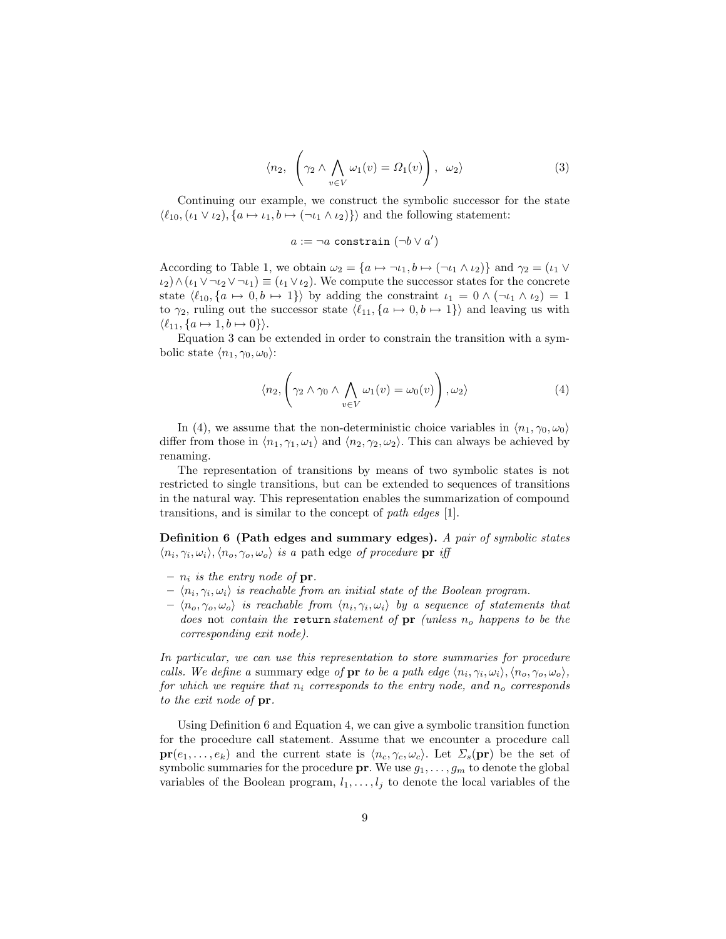$$
\langle n_2, \left( \gamma_2 \wedge \bigwedge_{v \in V} \omega_1(v) = \Omega_1(v) \right), \ \omega_2 \rangle \tag{3}
$$

Continuing our example, we construct the symbolic successor for the state  $\langle \ell_{10},(\iota_1 \vee \iota_2), \{a \mapsto \iota_1, b \mapsto (\neg \iota_1 \wedge \iota_2)\}\rangle$  and the following statement:

$$
a := \neg a \text{ constraint } (\neg b \lor a')
$$

According to Table 1, we obtain  $\omega_2 = \{a \mapsto \neg \iota_1, b \mapsto (\neg \iota_1 \wedge \iota_2)\}\$  and  $\gamma_2 = (\iota_1 \vee \iota_2)$  $\iota_2\wedge(\iota_1\vee\neg\iota_2\vee\neg\iota_1)\equiv(\iota_1\vee\iota_2).$  We compute the successor states for the concrete state  $\langle \ell_{10}, \{a \mapsto 0, b \mapsto 1\} \rangle$  by adding the constraint  $\iota_1 = 0 \wedge (\neg \iota_1 \wedge \iota_2) = 1$ to  $\gamma_2$ , ruling out the successor state  $\langle \ell_{11}, {a \mapsto 0, b \mapsto 1} \rangle$  and leaving us with  $\langle \ell_{11}, \{a \mapsto 1, b \mapsto 0\}\rangle.$ 

Equation 3 can be extended in order to constrain the transition with a symbolic state  $\langle n_1, \gamma_0, \omega_0 \rangle$ :

$$
\langle n_2, \left( \gamma_2 \wedge \gamma_0 \wedge \bigwedge_{v \in V} \omega_1(v) = \omega_0(v) \right), \omega_2 \rangle \tag{4}
$$

In (4), we assume that the non-deterministic choice variables in  $\langle n_1, \gamma_0, \omega_0 \rangle$ differ from those in  $\langle n_1, \gamma_1, \omega_1 \rangle$  and  $\langle n_2, \gamma_2, \omega_2 \rangle$ . This can always be achieved by renaming.

The representation of transitions by means of two symbolic states is not restricted to single transitions, but can be extended to sequences of transitions in the natural way. This representation enables the summarization of compound transitions, and is similar to the concept of path edges [1].

Definition 6 (Path edges and summary edges). A pair of symbolic states  $\langle n_i, \gamma_i, \omega_i \rangle, \langle n_o, \gamma_o, \omega_o \rangle$  is a path edge of procedure pr if

- $n_i$  is the entry node of  $pr_i$ .
- $\langle n_i, \gamma_i, \omega_i \rangle$  is reachable from an initial state of the Boolean program.
- $\langle n_o, \gamma_o, \omega_o \rangle$  is reachable from  $\langle n_i, \gamma_i, \omega_i \rangle$  by a sequence of statements that does not contain the return statement of  $pr$  (unless  $n_o$  happens to be the corresponding exit node).

In particular, we can use this representation to store summaries for procedure calls. We define a summary edge of **pr** to be a path edge  $\langle n_i, \gamma_i, \omega_i \rangle, \langle n_o, \gamma_o, \omega_o \rangle$ , for which we require that  $n_i$  corresponds to the entry node, and  $n_o$  corresponds to the exit node of pr.

Using Definition 6 and Equation 4, we can give a symbolic transition function for the procedure call statement. Assume that we encounter a procedure call  $pr(e_1, \ldots, e_k)$  and the current state is  $\langle n_c, \gamma_c, \omega_c \rangle$ . Let  $\Sigma_s(pr)$  be the set of symbolic summaries for the procedure  $pr$ . We use  $g_1, \ldots, g_m$  to denote the global variables of the Boolean program,  $l_1, \ldots, l_j$  to denote the local variables of the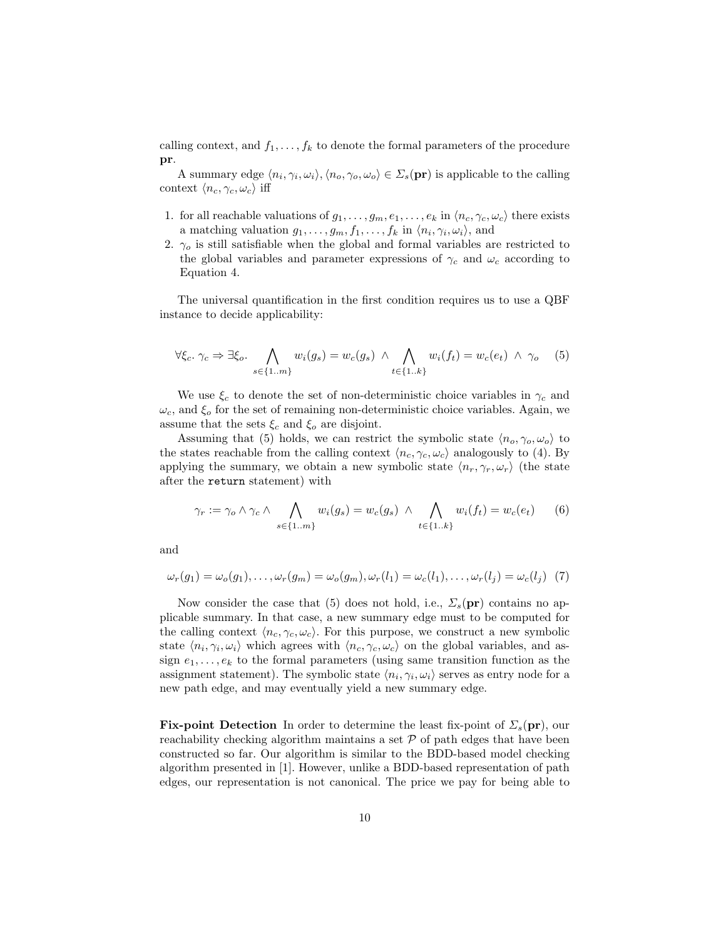calling context, and  $f_1, \ldots, f_k$  to denote the formal parameters of the procedure pr.

A summary edge  $\langle n_i, \gamma_i, \omega_i \rangle, \langle n_o, \gamma_o, \omega_o \rangle \in \Sigma_s(\textbf{pr})$  is applicable to the calling context  $\langle n_c, \gamma_c, \omega_c \rangle$  iff

- 1. for all reachable valuations of  $g_1, \ldots, g_m, e_1, \ldots, e_k$  in  $\langle n_c, \gamma_c, \omega_c \rangle$  there exists a matching valuation  $g_1, \ldots, g_m, f_1, \ldots, f_k$  in  $\langle n_i, \gamma_i, \omega_i \rangle$ , and
- 2.  $\gamma_o$  is still satisfiable when the global and formal variables are restricted to the global variables and parameter expressions of  $\gamma_c$  and  $\omega_c$  according to Equation 4.

The universal quantification in the first condition requires us to use a QBF instance to decide applicability:

$$
\forall \xi_c. \ \gamma_c \Rightarrow \exists \xi_o. \ \bigwedge_{s \in \{1 \dots m\}} w_i(g_s) = w_c(g_s) \ \wedge \ \bigwedge_{t \in \{1 \dots k\}} w_i(f_t) = w_c(e_t) \ \wedge \ \gamma_o \tag{5}
$$

We use  $\xi_c$  to denote the set of non-deterministic choice variables in  $\gamma_c$  and  $\omega_c$ , and  $\xi_o$  for the set of remaining non-deterministic choice variables. Again, we assume that the sets  $\xi_c$  and  $\xi_o$  are disjoint.

Assuming that (5) holds, we can restrict the symbolic state  $\langle n_o, \gamma_o, \omega_o \rangle$  to the states reachable from the calling context  $\langle n_c, \gamma_c, \omega_c \rangle$  analogously to (4). By applying the summary, we obtain a new symbolic state  $\langle n_r, \gamma_r, \omega_r \rangle$  (the state after the return statement) with

$$
\gamma_r := \gamma_o \wedge \gamma_c \wedge \bigwedge_{s \in \{1 \dots m\}} w_i(g_s) = w_c(g_s) \wedge \bigwedge_{t \in \{1 \dots k\}} w_i(f_t) = w_c(e_t) \qquad (6)
$$

and

$$
\omega_r(g_1) = \omega_o(g_1), \dots, \omega_r(g_m) = \omega_o(g_m), \omega_r(l_1) = \omega_c(l_1), \dots, \omega_r(l_j) = \omega_c(l_j) \tag{7}
$$

Now consider the case that (5) does not hold, i.e.,  $\Sigma_s(\mathbf{pr})$  contains no applicable summary. In that case, a new summary edge must to be computed for the calling context  $\langle n_c, \gamma_c, \omega_c \rangle$ . For this purpose, we construct a new symbolic state  $\langle n_i, \gamma_i, \omega_i \rangle$  which agrees with  $\langle n_c, \gamma_c, \omega_c \rangle$  on the global variables, and assign  $e_1, \ldots, e_k$  to the formal parameters (using same transition function as the assignment statement). The symbolic state  $\langle n_i, \gamma_i, \omega_i \rangle$  serves as entry node for a new path edge, and may eventually yield a new summary edge.

**Fix-point Detection** In order to determine the least fix-point of  $\Sigma<sub>s</sub>(pr)$ , our reachability checking algorithm maintains a set  $P$  of path edges that have been constructed so far. Our algorithm is similar to the BDD-based model checking algorithm presented in [1]. However, unlike a BDD-based representation of path edges, our representation is not canonical. The price we pay for being able to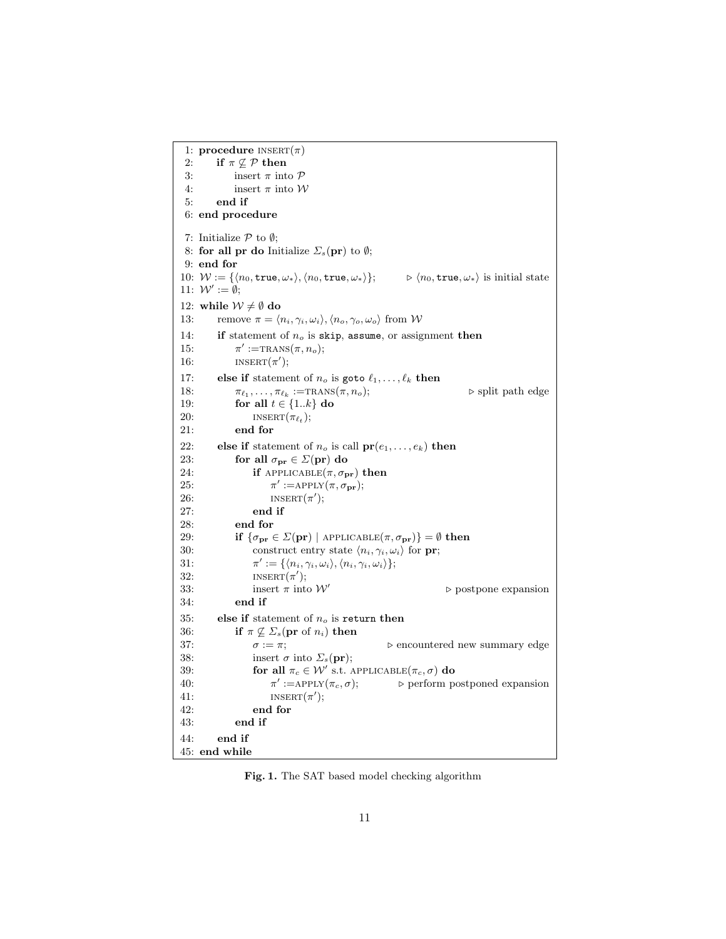```
1: procedure INSERT(\pi)2: if \pi \not\subseteq \mathcal{P} then
 3: insert \pi into \mathcal P4: insert \pi into \mathcal W5: end if
 6: end procedure
 7: Initialize \mathcal P to \emptyset;
 8: for all pr do Initialize \Sigma_s(\text{pr}) to \emptyset;
 9: end for
10: W := \{ \langle n_0, \text{true}, \omega_* \rangle, \langle n_0, \text{true}, \omega_* \rangle \}; \qquad \triangleright \langle n_0, \text{true}, \omega_* \rangle \text{ is initial state}11: W' := \emptyset;12: while \mathcal{W} \neq \emptyset do
13: remove \pi = \langle n_i, \gamma_i, \omega_i \rangle, \langle n_o, \gamma_o, \omega_o \rangle from W
14: if statement of n<sub>o</sub> is skip, assume, or assignment then
15:
                 \prime :=TRANS(\pi, n_o);16: iNSERT(\pi');
17: else if statement of n_o is goto \ell_1, \ldots, \ell_k then
18: \pi_{\ell_1}, \ldots, \pi_{\ell_k}\trianglerightsplit path edge
19: for all t \in \{1..k\} do
20: iNSERT(\pi_{\ell_t});21: end for
22: else if statement of n_o is call pr(e_1, \ldots, e_k) then
23: for all \sigma_{\mathbf{pr}} \in \Sigma(\mathbf{pr}) do
24: if APPLICABLE(\pi, \sigma_{pr}) then
25:
                           ' := \text{APPLY}(\pi, \sigma_{\textbf{pr}});26: I NSERT(\pi');27: end if
28: end for
29: if \{\sigma_{\mathbf{pr}} \in \Sigma(\mathbf{pr}) \mid \text{APPLICABLE}(\pi, \sigma_{\mathbf{pr}})\} = \emptyset then
30: construct entry state \langle n_i, \gamma_i, \omega_i \rangle for pr;
31:
                      \mathcal{O}':=\{\langle n_i,\gamma_i,\omega_i\rangle,\langle n_i,\gamma_i,\omega_i\rangle\};32: INSERT(\pi');
33: insert \pi into \mathcal{W}'\triangleright postpone expansion
34: end if
35: else if statement of n_o is return then
36: if \pi \not\subseteq \Sigma_s(\mathbf{pr} \text{ of } n_i) then
37: \sigma := \pi; \triangleright encountered new summary edge
38: insert \sigma into \Sigma_s(\text{pr});39: for all \pi_c \in \mathcal{W}' s.t. APPLICABLE(\pi_c, \sigma) do
40:
                        \pi' := \operatorname{APPLY}(\pi_c, \sigma);\triangleright perform postponed expansion
41: I \text{INBERT}(\pi');42: end for
43: end if
44: end if
45: end while
```
Fig. 1. The SAT based model checking algorithm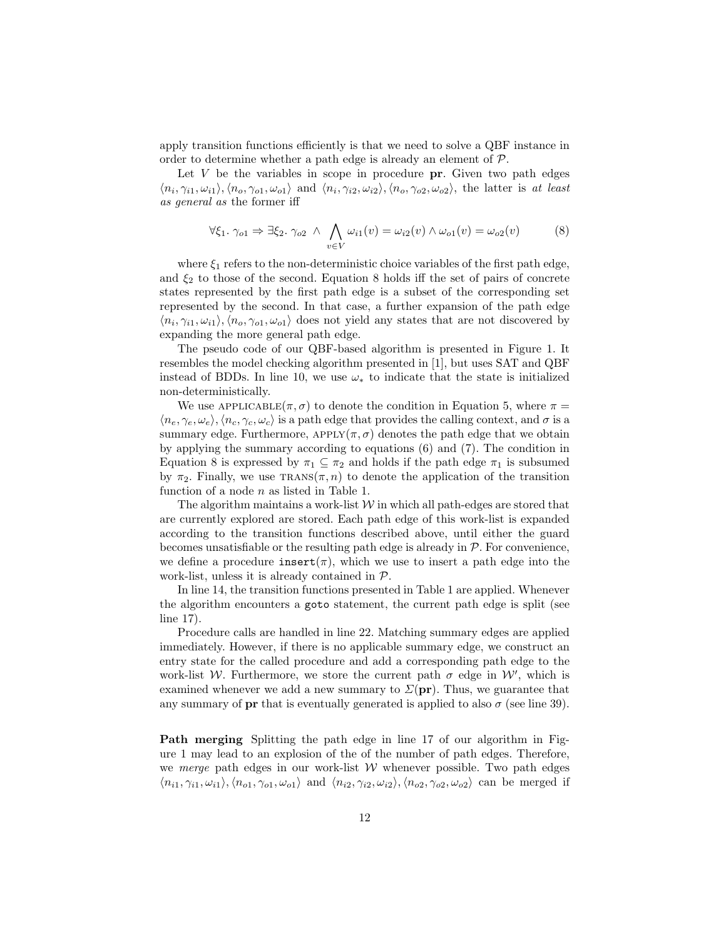apply transition functions efficiently is that we need to solve a QBF instance in order to determine whether a path edge is already an element of  $P$ .

Let  $V$  be the variables in scope in procedure  $pr$ . Given two path edges  $\langle n_i, \gamma_{i1}, \omega_{i1} \rangle, \langle n_o, \gamma_{o1}, \omega_{o1} \rangle$  and  $\langle n_i, \gamma_{i2}, \omega_{i2} \rangle, \langle n_o, \gamma_{o2}, \omega_{o2} \rangle$ , the latter is at least as general as the former iff

$$
\forall \xi_1. \ \gamma_{o1} \Rightarrow \exists \xi_2. \ \gamma_{o2} \ \land \ \bigwedge_{v \in V} \omega_{i1}(v) = \omega_{i2}(v) \land \omega_{o1}(v) = \omega_{o2}(v) \tag{8}
$$

where  $\xi_1$  refers to the non-deterministic choice variables of the first path edge, and  $\xi_2$  to those of the second. Equation 8 holds iff the set of pairs of concrete states represented by the first path edge is a subset of the corresponding set represented by the second. In that case, a further expansion of the path edge  $\langle n_i, \gamma_{i1}, \omega_{i1} \rangle, \langle n_o, \gamma_{o1}, \omega_{o1} \rangle$  does not yield any states that are not discovered by expanding the more general path edge.

The pseudo code of our QBF-based algorithm is presented in Figure 1. It resembles the model checking algorithm presented in [1], but uses SAT and QBF instead of BDDs. In line 10, we use  $\omega_*$  to indicate that the state is initialized non-deterministically.

We use  $APPLICABLE(\pi, \sigma)$  to denote the condition in Equation 5, where  $\pi =$  $\langle n_e, \gamma_e, \omega_e \rangle, \langle n_c, \gamma_c, \omega_c \rangle$  is a path edge that provides the calling context, and  $\sigma$  is a summary edge. Furthermore,  $APPLY(\pi, \sigma)$  denotes the path edge that we obtain by applying the summary according to equations (6) and (7). The condition in Equation 8 is expressed by  $\pi_1 \subseteq \pi_2$  and holds if the path edge  $\pi_1$  is subsumed by  $\pi_2$ . Finally, we use  $\text{Trans}(\pi, n)$  to denote the application of the transition function of a node *n* as listed in Table 1.

The algorithm maintains a work-list  $W$  in which all path-edges are stored that are currently explored are stored. Each path edge of this work-list is expanded according to the transition functions described above, until either the guard becomes unsatisfiable or the resulting path edge is already in  $\mathcal P$ . For convenience, we define a procedure  $\text{insert}(\pi)$ , which we use to insert a path edge into the work-list, unless it is already contained in P.

In line 14, the transition functions presented in Table 1 are applied. Whenever the algorithm encounters a goto statement, the current path edge is split (see line 17).

Procedure calls are handled in line 22. Matching summary edges are applied immediately. However, if there is no applicable summary edge, we construct an entry state for the called procedure and add a corresponding path edge to the work-list W. Furthermore, we store the current path  $\sigma$  edge in W', which is examined whenever we add a new summary to  $\Sigma(\text{pr})$ . Thus, we guarantee that any summary of **pr** that is eventually generated is applied to also  $\sigma$  (see line 39).

Path merging Splitting the path edge in line 17 of our algorithm in Figure 1 may lead to an explosion of the of the number of path edges. Therefore, we merge path edges in our work-list  $W$  whenever possible. Two path edges  $\langle n_{i1}, \gamma_{i1}, \omega_{i1} \rangle, \langle n_{o1}, \gamma_{o1}, \omega_{o1} \rangle$  and  $\langle n_{i2}, \gamma_{i2}, \omega_{i2} \rangle, \langle n_{o2}, \gamma_{o2}, \omega_{o2} \rangle$  can be merged if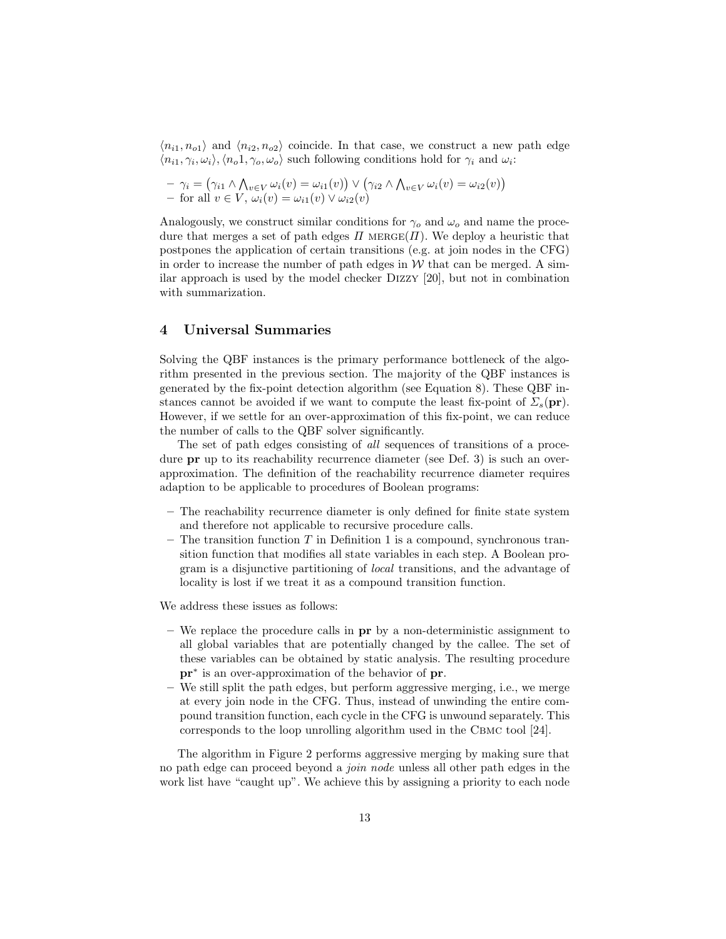$\langle n_{i1}, n_{o1} \rangle$  and  $\langle n_{i2}, n_{o2} \rangle$  coincide. In that case, we construct a new path edge  $\langle n_{i1}, \gamma_i, \omega_i \rangle, \langle n_o 1, \gamma_o, \omega_o \rangle$  such following conditions hold for  $\gamma_i$  and  $\omega_i$ :

$$
- \gamma_i = (\gamma_{i1} \land \bigwedge_{v \in V} \omega_i(v) = \omega_{i1}(v)) \lor (\gamma_{i2} \land \bigwedge_{v \in V} \omega_i(v) = \omega_{i2}(v))
$$
  
- for all  $v \in V$ ,  $\omega_i(v) = \omega_{i1}(v) \lor \omega_{i2}(v)$ 

Analogously, we construct similar conditions for  $\gamma_o$  and  $\omega_o$  and name the procedure that merges a set of path edges  $\Pi$  MERGE( $\Pi$ ). We deploy a heuristic that postpones the application of certain transitions (e.g. at join nodes in the CFG) in order to increase the number of path edges in  $W$  that can be merged. A similar approach is used by the model checker Dizzy [20], but not in combination with summarization.

### 4 Universal Summaries

Solving the QBF instances is the primary performance bottleneck of the algorithm presented in the previous section. The majority of the QBF instances is generated by the fix-point detection algorithm (see Equation 8). These QBF instances cannot be avoided if we want to compute the least fix-point of  $\Sigma_s(\text{pr})$ . However, if we settle for an over-approximation of this fix-point, we can reduce the number of calls to the QBF solver significantly.

The set of path edges consisting of all sequences of transitions of a procedure **pr** up to its reachability recurrence diameter (see Def. 3) is such an overapproximation. The definition of the reachability recurrence diameter requires adaption to be applicable to procedures of Boolean programs:

- The reachability recurrence diameter is only defined for finite state system and therefore not applicable to recursive procedure calls.
- The transition function  $T$  in Definition 1 is a compound, synchronous transition function that modifies all state variables in each step. A Boolean program is a disjunctive partitioning of local transitions, and the advantage of locality is lost if we treat it as a compound transition function.

We address these issues as follows:

- We replace the procedure calls in pr by a non-deterministic assignment to all global variables that are potentially changed by the callee. The set of these variables can be obtained by static analysis. The resulting procedure pr<sup>∗</sup> is an over-approximation of the behavior of pr.
- We still split the path edges, but perform aggressive merging, i.e., we merge at every join node in the CFG. Thus, instead of unwinding the entire compound transition function, each cycle in the CFG is unwound separately. This corresponds to the loop unrolling algorithm used in the Cbmc tool [24].

The algorithm in Figure 2 performs aggressive merging by making sure that no path edge can proceed beyond a join node unless all other path edges in the work list have "caught up". We achieve this by assigning a priority to each node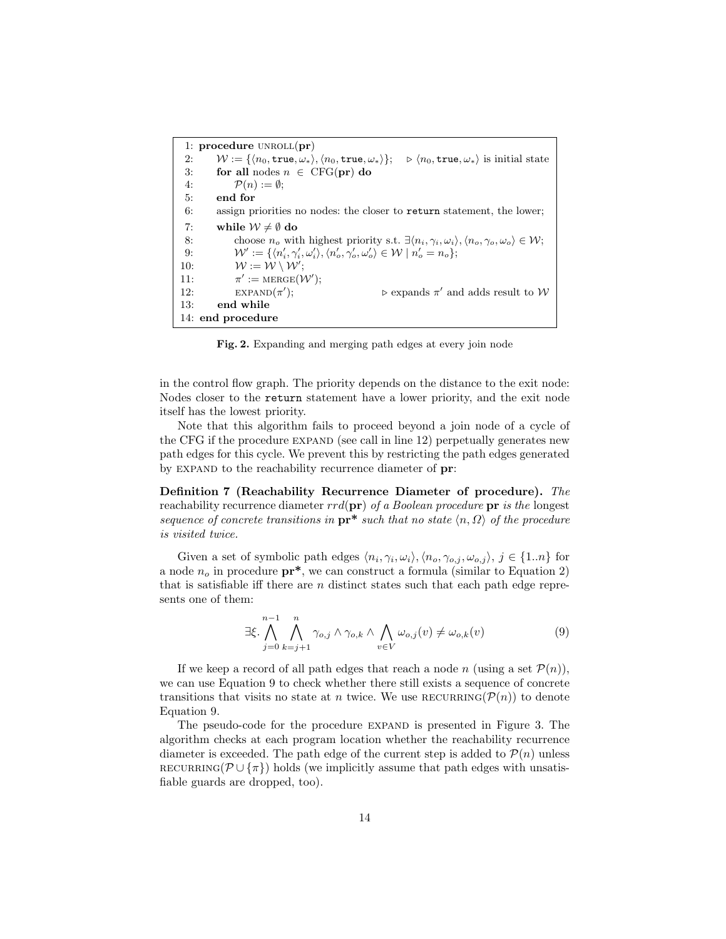1: procedure  $UNROLL(pr)$ 2:  $W := \{ \langle n_0, \text{true}, \omega_* \rangle, \langle n_0, \text{true}, \omega_* \rangle \}; \Rightarrow \langle n_0, \text{true}, \omega_* \rangle$  is initial state 3: for all nodes  $n \in \text{CFG}(\text{pr})$  do 4:  $\mathcal{P}(n) := \emptyset$ ; 5: end for 6: assign priorities no nodes: the closer to return statement, the lower; 7: while  $\mathcal{W} \neq \emptyset$  do 8: choose  $n_o$  with highest priority s.t.  $\exists \langle n_i, \gamma_i, \omega_i \rangle, \langle n_o, \gamma_o, \omega_o \rangle \in \mathcal{W};$ 9:  $W' := \{ \langle n'_i, \gamma'_i, \omega'_i \rangle, \langle n'_o, \gamma'_o, \omega'_o \rangle \in \mathcal{W} \mid n'_o = n_o \};$ 10:  $W := \mathcal{W} \setminus \mathcal{W}'$ ;  $11:$  $' := \text{MERGE}(\mathcal{W}');$ 12:  $\exp(\pi')$ );  $\triangleright$  expands  $\pi'$  and adds result to W 13: end while 14: end procedure

Fig. 2. Expanding and merging path edges at every join node

in the control flow graph. The priority depends on the distance to the exit node: Nodes closer to the return statement have a lower priority, and the exit node itself has the lowest priority.

Note that this algorithm fails to proceed beyond a join node of a cycle of the CFG if the procedure  $EXPAND$  (see call in line 12) perpetually generates new path edges for this cycle. We prevent this by restricting the path edges generated by EXPAND to the reachability recurrence diameter of **pr**:

Definition 7 (Reachability Recurrence Diameter of procedure). The reachability recurrence diameter  $rrd(\mathbf{pr})$  of a Boolean procedure  $\mathbf{pr}$  is the longest sequence of concrete transitions in  $\mathbf{pr}^*$  such that no state  $\langle n, \Omega \rangle$  of the procedure is visited twice.

Given a set of symbolic path edges  $\langle n_i, \gamma_i, \omega_i \rangle, \langle n_o, \gamma_{o,j}, \omega_{o,j} \rangle, j \in \{1..n\}$  for a node  $n_o$  in procedure  $pr^*$ , we can construct a formula (similar to Equation 2) that is satisfiable iff there are  $n$  distinct states such that each path edge represents one of them:

$$
\exists \xi. \bigwedge_{j=0}^{n-1} \bigwedge_{k=j+1}^{n} \gamma_{o,j} \wedge \gamma_{o,k} \wedge \bigwedge_{v \in V} \omega_{o,j}(v) \neq \omega_{o,k}(v) \tag{9}
$$

If we keep a record of all path edges that reach a node n (using a set  $\mathcal{P}(n)$ ), we can use Equation 9 to check whether there still exists a sequence of concrete transitions that visits no state at n twice. We use RECURRING( $\mathcal{P}(n)$ ) to denote Equation 9.

The pseudo-code for the procedure expand is presented in Figure 3. The algorithm checks at each program location whether the reachability recurrence diameter is exceeded. The path edge of the current step is added to  $\mathcal{P}(n)$  unless RECURRING( $\mathcal{P} \cup \{\pi\}$ ) holds (we implicitly assume that path edges with unsatisfiable guards are dropped, too).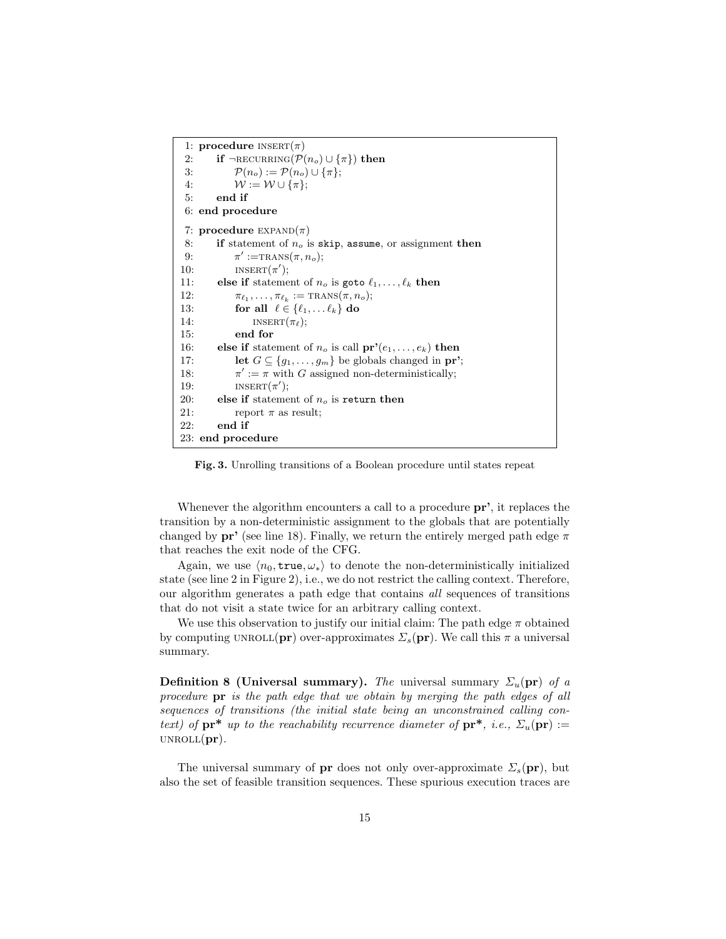```
1: procedure INSERT(\pi)2: if ¬RECURRING(\mathcal{P}(n_o) \cup \{\pi\}) then
 3: \mathcal{P}(n_o) := \mathcal{P}(n_o) \cup {\pi};4: W := \mathcal{W} \cup \{\pi\};5: end if
 6: end procedure
 7: procedure EXPAND(\pi)8: if statement of n<sub>o</sub> is skip, assume, or assignment then
 9:
              ' :=TRANS(\pi, n_o);10: I N \text{SERT}(\pi');11: else if statement of n_o is goto \ell_1, \ldots, \ell_k then
12: \pi_{\ell_1}, \ldots, \pi_{\ell_k} := \text{TRANS}(\pi, n_o);13: for all \ell \in \{\ell_1, \ldots \ell_k\} do
14: insert(\pi_{\ell});15: end for
16: else if statement of n_o is call pr'(e_1, \ldots, e_k) then
17: let G \subseteq \{g_1, \ldots, g_m\} be globals changed in pr';
18:
              \prime := \pi with G assigned non-deterministically;
19: INBERT(\pi');20: else if statement of n<sub>o</sub> is return then
21: report \pi as result;
22: end if
23: end procedure
```
Fig. 3. Unrolling transitions of a Boolean procedure until states repeat

Whenever the algorithm encounters a call to a procedure  $pr'$ , it replaces the transition by a non-deterministic assignment to the globals that are potentially changed by  $pr'$  (see line 18). Finally, we return the entirely merged path edge  $\pi$ that reaches the exit node of the CFG.

Again, we use  $\langle n_0, \text{true}, \omega_* \rangle$  to denote the non-deterministically initialized state (see line 2 in Figure 2), i.e., we do not restrict the calling context. Therefore, our algorithm generates a path edge that contains all sequences of transitions that do not visit a state twice for an arbitrary calling context.

We use this observation to justify our initial claim: The path edge  $\pi$  obtained by computing UNROLL(pr) over-approximates  $\Sigma_s$ (pr). We call this  $\pi$  a universal summary.

**Definition 8 (Universal summary).** The universal summary  $\Sigma_u(\textbf{pr})$  of a procedure pr is the path edge that we obtain by merging the path edges of all sequences of transitions (the initial state being an unconstrained calling context) of  $\mathbf{pr}^*$  up to the reachability recurrence diameter of  $\mathbf{pr}^*$ , i.e.,  $\Sigma_u(\mathbf{pr}) :=$  $UNROLL(pr)$ .

The universal summary of **pr** does not only over-approximate  $\Sigma_s(\mathbf{pr})$ , but also the set of feasible transition sequences. These spurious execution traces are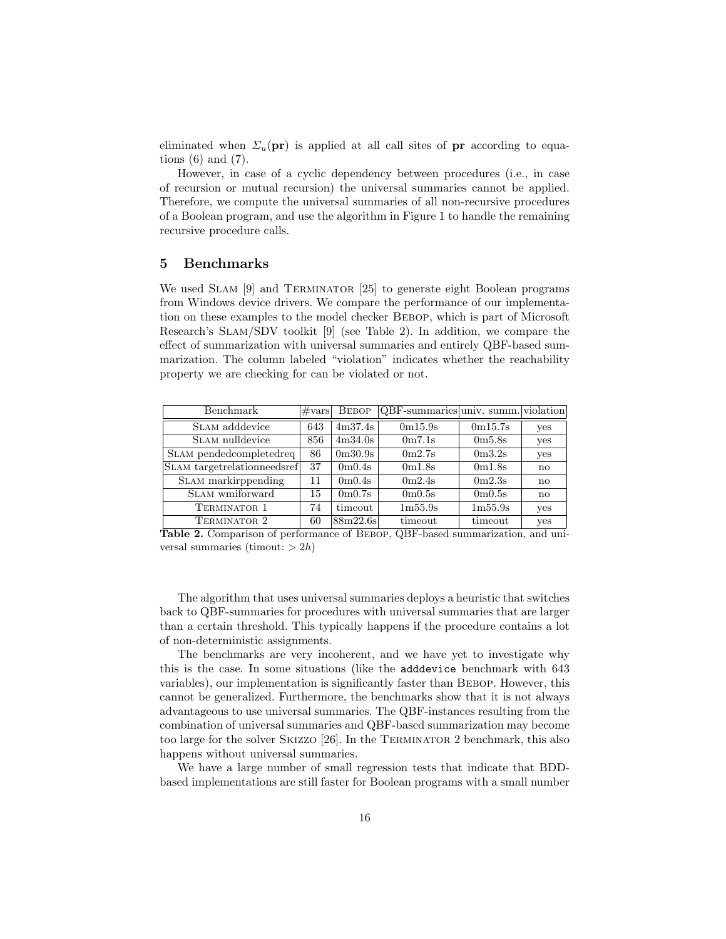eliminated when  $\Sigma_u(\text{pr})$  is applied at all call sites of **pr** according to equations  $(6)$  and  $(7)$ .

However, in case of a cyclic dependency between procedures (i.e., in case of recursion or mutual recursion) the universal summaries cannot be applied. Therefore, we compute the universal summaries of all non-recursive procedures of a Boolean program, and use the algorithm in Figure 1 to handle the remaining recursive procedure calls.

### 5 Benchmarks

We used SLAM [9] and TERMINATOR [25] to generate eight Boolean programs from Windows device drivers. We compare the performance of our implementation on these examples to the model checker BEBOP, which is part of Microsoft Research's Slam/SDV toolkit [9] (see Table 2). In addition, we compare the effect of summarization with universal summaries and entirely QBF-based summarization. The column labeled "violation" indicates whether the reachability property we are checking for can be violated or not.

| Benchmark                   | $\#vars$ | <b>BEBOP</b>                    | QBF-summaries univ. summ. violation |                                 |              |
|-----------------------------|----------|---------------------------------|-------------------------------------|---------------------------------|--------------|
| SLAM adddevice              | 643      | 4m37.4s                         | 0m15.9s                             | 0m15.7s                         | yes          |
| SLAM nulldevice             | 856      | 4m34.0s                         | 0 <sub>m</sub> 7.1 <sub>s</sub>     | 0 <sub>m5.8s</sub>              | yes          |
| SLAM pendedcompletedreq     | 86       | 0 <sub>m30.9s</sub>             | 0m2.7s                              | 0 <sub>m3.2s</sub>              | yes          |
| SLAM targetrelationneedsref | 37       | 0 <sub>m</sub> 0.4 <sub>s</sub> | 0m1.8s                              | 0m1.8s                          | $\mathbf{n}$ |
| SLAM markirppending         | 11       | 0m0.4s                          | 0m2.4s                              | 0m2.3s                          | $\mathbf{n}$ |
| SLAM wmiforward             | 15       | 0 <sub>m</sub> 0.7 <sub>s</sub> | 0 <sub>m</sub> 0.5 <sub>s</sub>     | 0 <sub>m</sub> 0.5 <sub>s</sub> | $\mathbf{n}$ |
| TERMINATOR 1                | 74       | timeout                         | 1m55.9s                             | 1m55.9s                         | yes          |
| TERMINATOR 2                | 60       | 88m22.6s                        | timeout                             | timeout                         | yes          |

Table 2. Comparison of performance of Bebop, QBF-based summarization, and universal summaries (timout:  $> 2h$ )

The algorithm that uses universal summaries deploys a heuristic that switches back to QBF-summaries for procedures with universal summaries that are larger than a certain threshold. This typically happens if the procedure contains a lot of non-deterministic assignments.

The benchmarks are very incoherent, and we have yet to investigate why this is the case. In some situations (like the adddevice benchmark with 643 variables), our implementation is significantly faster than BEBOP. However, this cannot be generalized. Furthermore, the benchmarks show that it is not always advantageous to use universal summaries. The QBF-instances resulting from the combination of universal summaries and QBF-based summarization may become too large for the solver SKIZZO [26]. In the TERMINATOR 2 benchmark, this also happens without universal summaries.

We have a large number of small regression tests that indicate that BDDbased implementations are still faster for Boolean programs with a small number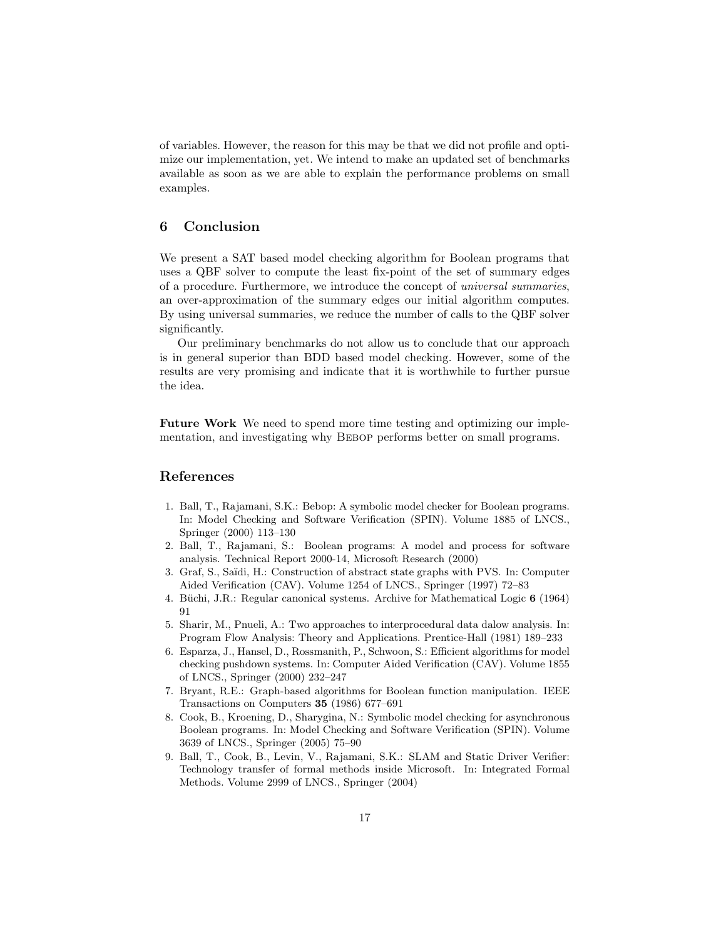of variables. However, the reason for this may be that we did not profile and optimize our implementation, yet. We intend to make an updated set of benchmarks available as soon as we are able to explain the performance problems on small examples.

# 6 Conclusion

We present a SAT based model checking algorithm for Boolean programs that uses a QBF solver to compute the least fix-point of the set of summary edges of a procedure. Furthermore, we introduce the concept of universal summaries, an over-approximation of the summary edges our initial algorithm computes. By using universal summaries, we reduce the number of calls to the QBF solver significantly.

Our preliminary benchmarks do not allow us to conclude that our approach is in general superior than BDD based model checking. However, some of the results are very promising and indicate that it is worthwhile to further pursue the idea.

Future Work We need to spend more time testing and optimizing our implementation, and investigating why Bebop performs better on small programs.

# References

- 1. Ball, T., Rajamani, S.K.: Bebop: A symbolic model checker for Boolean programs. In: Model Checking and Software Verification (SPIN). Volume 1885 of LNCS., Springer (2000) 113–130
- 2. Ball, T., Rajamani, S.: Boolean programs: A model and process for software analysis. Technical Report 2000-14, Microsoft Research (2000)
- 3. Graf, S., Sa¨ıdi, H.: Construction of abstract state graphs with PVS. In: Computer Aided Verification (CAV). Volume 1254 of LNCS., Springer (1997) 72–83
- 4. Büchi, J.R.: Regular canonical systems. Archive for Mathematical Logic  $6$  (1964) 91
- 5. Sharir, M., Pnueli, A.: Two approaches to interprocedural data dalow analysis. In: Program Flow Analysis: Theory and Applications. Prentice-Hall (1981) 189–233
- 6. Esparza, J., Hansel, D., Rossmanith, P., Schwoon, S.: Efficient algorithms for model checking pushdown systems. In: Computer Aided Verification (CAV). Volume 1855 of LNCS., Springer (2000) 232–247
- 7. Bryant, R.E.: Graph-based algorithms for Boolean function manipulation. IEEE Transactions on Computers 35 (1986) 677–691
- 8. Cook, B., Kroening, D., Sharygina, N.: Symbolic model checking for asynchronous Boolean programs. In: Model Checking and Software Verification (SPIN). Volume 3639 of LNCS., Springer (2005) 75–90
- 9. Ball, T., Cook, B., Levin, V., Rajamani, S.K.: SLAM and Static Driver Verifier: Technology transfer of formal methods inside Microsoft. In: Integrated Formal Methods. Volume 2999 of LNCS., Springer (2004)